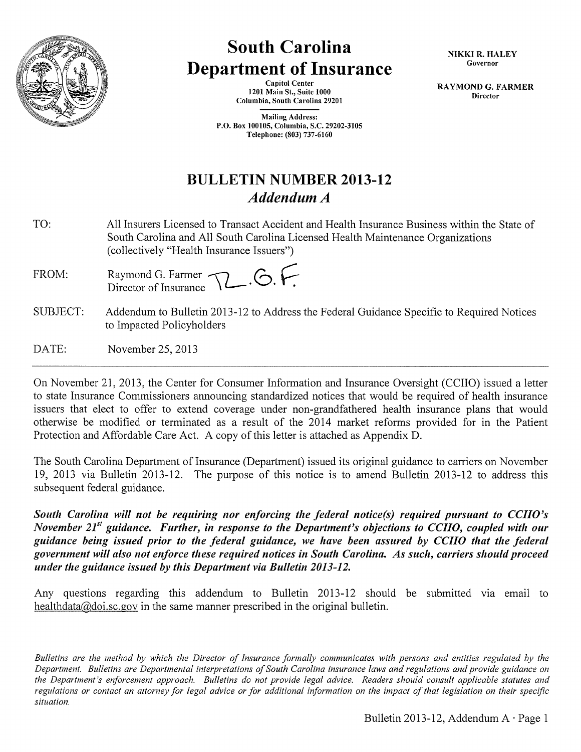

# **South Carolina Department of Insurance**

Capitol Center 1201 Main St., Suite 1000 Columbia, South Carolina 29201

Mailing Address: P.O. Box 100105, Columbia, S.C. 29202-3105 Telephone: (803) 737-6160

NIKKI R. HALEY Governor

RAYMOND G. FARMER Director

**BULLETIN NUMBER 2013-12**  *Addendum A* 

- TO: All Insurers Licensed to Transact Accident and Health Insurance Business within the State of South Carolina and All South Carolina Licensed Health Maintenance Organizations (collectively "Health Insurance Issuers")
- FROM: Raymond G. Farmer **12** . **6. F**.
- SUBJECT: Addendum to Bulletin 2013-12 to Address the Federal Guidance Specific to Required Notices to Impacted Policyholders
- DATE: November 25,2013

On November 21, 2013, the Center for Consumer Information and Insurance Oversight (CCIIO) issued a letter to state Insurance Commissioners announcing standardized notices that would be required of health insurance issuers that elect to offer to extend coverage under non-grandfathered health insurance plans that would otherwise be modified or terminated as a result of the 2014 market reforms provided for in the Patient Protection and Affordable Care Act. A copy of this letter is attached as Appendix D.

The South Carolina Department of Insurance (Department) issued its original guidance to carriers on November 19, 2013 via Bulletin 2013-12. The purpose of this notice is to amend Bulletin 2013-12 to address this subsequent federal guidance.

*South Carolina will not be requiring nor enforcing the federal notice(s) required pursuant to CCIIO's November 2151 guidance. Further, in response to the Department's objections to CCIIO, coupled with our guidance being issued prior to the federal guidance, we have been assured by CCIIO that the federal government will also not enforce these required notices in South Carolina. As such, carriers should proceed under the guidance issued by this Department via Bulletin 2013-12.* 

Any questions regarding this addendum to Bulletin 2013-12 should be submitted via email to healthdata@doi.sc.gov in the same manner prescribed in the original bulletin.

*Bulletins are the method by which the Director of Insurance formally communicates with persons and entities regulated by the Department. Bulletins are Departmental interpretations of South Carolina insurance laws and regulations and provide guidance on the Department's enforcement approach. Bulletins do not provide legal advice. Readers should consult applicable statutes and regulations or contact an attorney for legal advice or for additional information on the impact of that legislation on their specific situation.*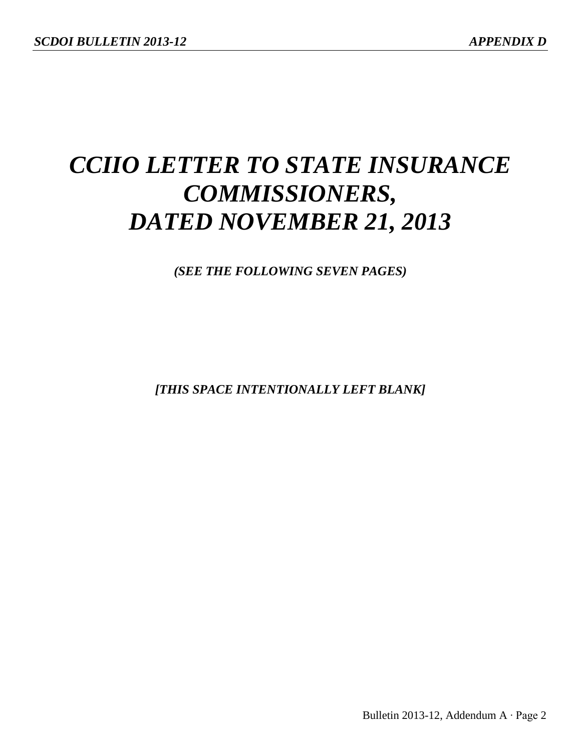# *CCIIO LETTER TO STATE INSURANCE COMMISSIONERS, DATED NOVEMBER 21, 2013*

*(SEE THE FOLLOWING SEVEN PAGES)*

*[THIS SPACE INTENTIONALLY LEFT BLANK]*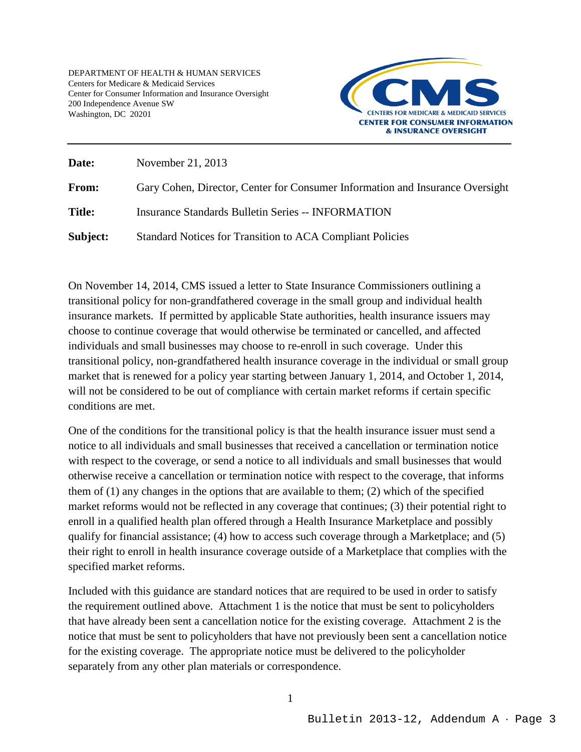DEPARTMENT OF HEALTH & HUMAN SERVICES Centers for Medicare & Medicaid Services Center for Consumer Information and Insurance Oversight 200 Independence Avenue SW Washington, DC 20201



| Date:         | November 21, 2013                                                             |
|---------------|-------------------------------------------------------------------------------|
| From:         | Gary Cohen, Director, Center for Consumer Information and Insurance Oversight |
| <b>Title:</b> | <b>Insurance Standards Bulletin Series -- INFORMATION</b>                     |
| Subject:      | Standard Notices for Transition to ACA Compliant Policies                     |

On November 14, 2014, CMS issued a letter to State Insurance Commissioners outlining a transitional policy for non-grandfathered coverage in the small group and individual health insurance markets. If permitted by applicable State authorities, health insurance issuers may choose to continue coverage that would otherwise be terminated or cancelled, and affected individuals and small businesses may choose to re-enroll in such coverage. Under this transitional policy, non-grandfathered health insurance coverage in the individual or small group market that is renewed for a policy year starting between January 1, 2014, and October 1, 2014, will not be considered to be out of compliance with certain market reforms if certain specific conditions are met.

One of the conditions for the transitional policy is that the health insurance issuer must send a notice to all individuals and small businesses that received a cancellation or termination notice with respect to the coverage, or send a notice to all individuals and small businesses that would otherwise receive a cancellation or termination notice with respect to the coverage, that informs them of (1) any changes in the options that are available to them; (2) which of the specified market reforms would not be reflected in any coverage that continues; (3) their potential right to enroll in a qualified health plan offered through a Health Insurance Marketplace and possibly qualify for financial assistance; (4) how to access such coverage through a Marketplace; and (5) their right to enroll in health insurance coverage outside of a Marketplace that complies with the specified market reforms.

Included with this guidance are standard notices that are required to be used in order to satisfy the requirement outlined above. Attachment 1 is the notice that must be sent to policyholders that have already been sent a cancellation notice for the existing coverage. Attachment 2 is the notice that must be sent to policyholders that have not previously been sent a cancellation notice for the existing coverage. The appropriate notice must be delivered to the policyholder separately from any other plan materials or correspondence.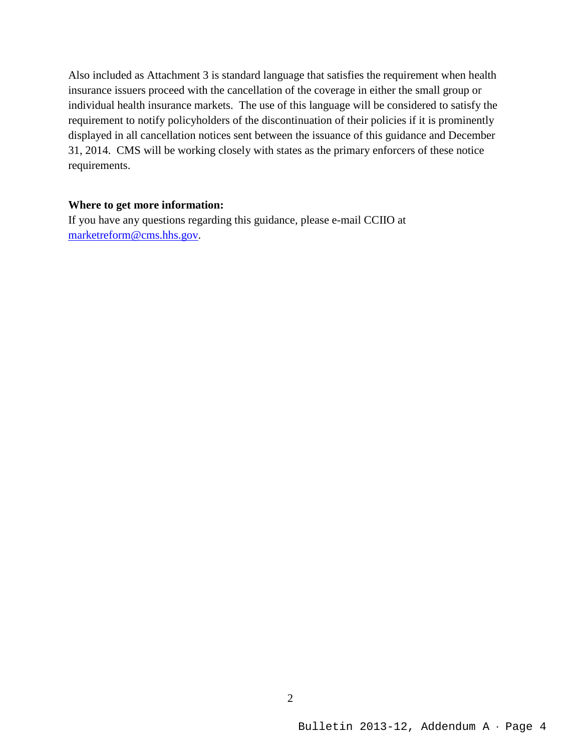Also included as Attachment 3 is standard language that satisfies the requirement when health insurance issuers proceed with the cancellation of the coverage in either the small group or individual health insurance markets. The use of this language will be considered to satisfy the requirement to notify policyholders of the discontinuation of their policies if it is prominently displayed in all cancellation notices sent between the issuance of this guidance and December 31, 2014. CMS will be working closely with states as the primary enforcers of these notice requirements.

# **Where to get more information:**

If you have any questions regarding this guidance, please e-mail CCIIO at [marketreform@cms.hhs.gov.](mailto:marketreform@cms.hhs.gov)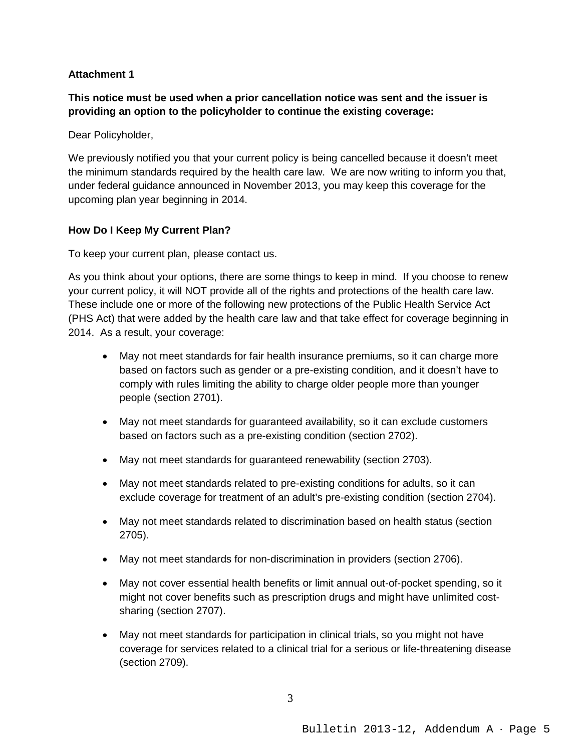#### **Attachment 1**

**This notice must be used when a prior cancellation notice was sent and the issuer is providing an option to the policyholder to continue the existing coverage:**

Dear Policyholder,

We previously notified you that your current policy is being cancelled because it doesn't meet the minimum standards required by the health care law. We are now writing to inform you that, under federal guidance announced in November 2013, you may keep this coverage for the upcoming plan year beginning in 2014.

# **How Do I Keep My Current Plan?**

To keep your current plan, please contact us.

As you think about your options, there are some things to keep in mind. If you choose to renew your current policy, it will NOT provide all of the rights and protections of the health care law. These include one or more of the following new protections of the Public Health Service Act (PHS Act) that were added by the health care law and that take effect for coverage beginning in 2014. As a result, your coverage:

- May not meet standards for fair health insurance premiums, so it can charge more based on factors such as gender or a pre-existing condition, and it doesn't have to comply with rules limiting the ability to charge older people more than younger people (section 2701).
- May not meet standards for guaranteed availability, so it can exclude customers based on factors such as a pre-existing condition (section 2702).
- May not meet standards for guaranteed renewability (section 2703).
- May not meet standards related to pre-existing conditions for adults, so it can exclude coverage for treatment of an adult's pre-existing condition (section 2704).
- May not meet standards related to discrimination based on health status (section 2705).
- May not meet standards for non-discrimination in providers (section 2706).
- May not cover essential health benefits or limit annual out-of-pocket spending, so it might not cover benefits such as prescription drugs and might have unlimited costsharing (section 2707).
- May not meet standards for participation in clinical trials, so you might not have coverage for services related to a clinical trial for a serious or life-threatening disease (section 2709).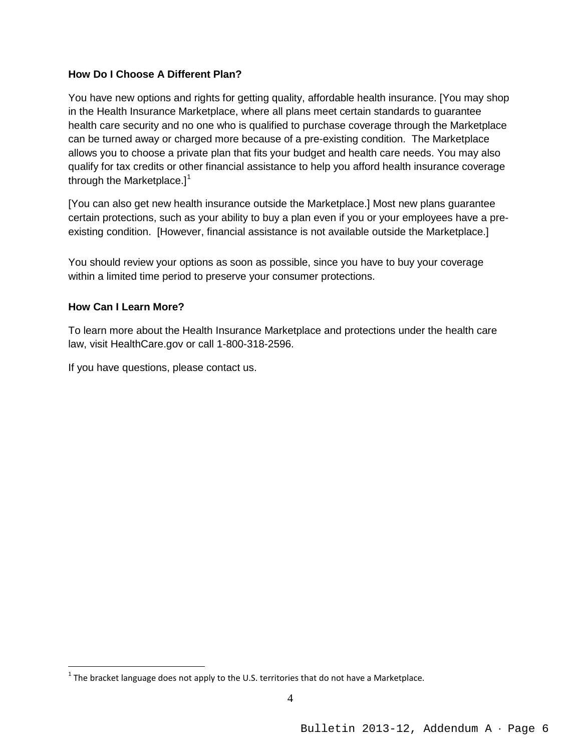#### **How Do I Choose A Different Plan?**

You have new options and rights for getting quality, affordable health insurance. [You may shop in the Health Insurance Marketplace, where all plans meet certain standards to guarantee health care security and no one who is qualified to purchase coverage through the Marketplace can be turned away or charged more because of a pre-existing condition. The Marketplace allows you to choose a private plan that fits your budget and health care needs. You may also qualify for tax credits or other financial assistance to help you afford health insurance coverage through the Marketplace. $]$ <sup>[1](#page-5-0)</sup>

[You can also get new health insurance outside the Marketplace.] Most new plans guarantee certain protections, such as your ability to buy a plan even if you or your employees have a preexisting condition. [However, financial assistance is not available outside the Marketplace.]

You should review your options as soon as possible, since you have to buy your coverage within a limited time period to preserve your consumer protections.

#### **How Can I Learn More?**

To learn more about the Health Insurance Marketplace and protections under the health care law, visit HealthCare.gov or call 1-800-318-2596.

If you have questions, please contact us.

<span id="page-5-0"></span> $<sup>1</sup>$  The bracket language does not apply to the U.S. territories that do not have a Marketplace.</sup>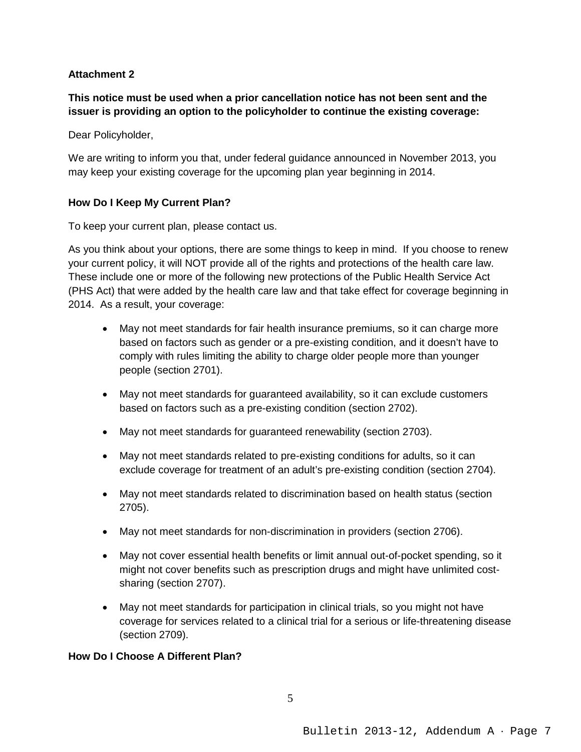#### **Attachment 2**

**This notice must be used when a prior cancellation notice has not been sent and the issuer is providing an option to the policyholder to continue the existing coverage:**

Dear Policyholder,

We are writing to inform you that, under federal guidance announced in November 2013, you may keep your existing coverage for the upcoming plan year beginning in 2014.

#### **How Do I Keep My Current Plan?**

To keep your current plan, please contact us.

As you think about your options, there are some things to keep in mind. If you choose to renew your current policy, it will NOT provide all of the rights and protections of the health care law. These include one or more of the following new protections of the Public Health Service Act (PHS Act) that were added by the health care law and that take effect for coverage beginning in 2014. As a result, your coverage:

- May not meet standards for fair health insurance premiums, so it can charge more based on factors such as gender or a pre-existing condition, and it doesn't have to comply with rules limiting the ability to charge older people more than younger people (section 2701).
- May not meet standards for guaranteed availability, so it can exclude customers based on factors such as a pre-existing condition (section 2702).
- May not meet standards for guaranteed renewability (section 2703).
- May not meet standards related to pre-existing conditions for adults, so it can exclude coverage for treatment of an adult's pre-existing condition (section 2704).
- May not meet standards related to discrimination based on health status (section 2705).
- May not meet standards for non-discrimination in providers (section 2706).
- May not cover essential health benefits or limit annual out-of-pocket spending, so it might not cover benefits such as prescription drugs and might have unlimited costsharing (section 2707).
- May not meet standards for participation in clinical trials, so you might not have coverage for services related to a clinical trial for a serious or life-threatening disease (section 2709).

#### **How Do I Choose A Different Plan?**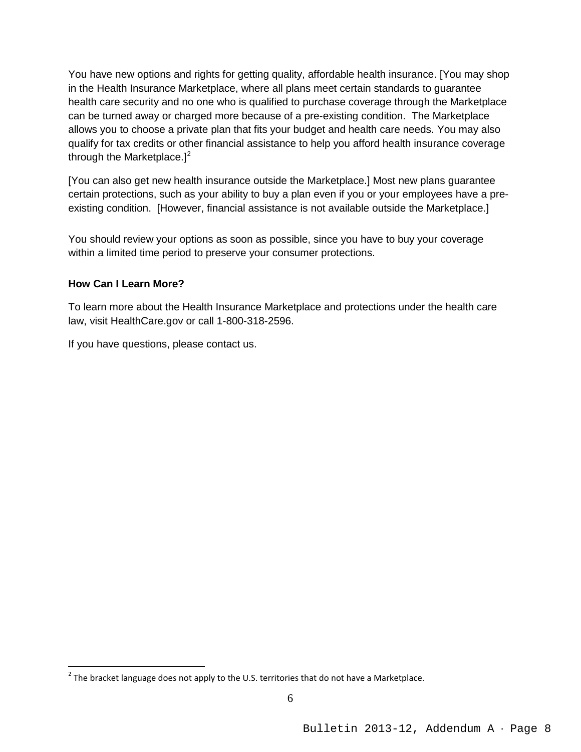You have new options and rights for getting quality, affordable health insurance. [You may shop in the Health Insurance Marketplace, where all plans meet certain standards to guarantee health care security and no one who is qualified to purchase coverage through the Marketplace can be turned away or charged more because of a pre-existing condition. The Marketplace allows you to choose a private plan that fits your budget and health care needs. You may also qualify for tax credits or other financial assistance to help you afford health insurance coverage through the Marketplace. $]^{2}$  $]^{2}$  $]^{2}$ 

[You can also get new health insurance outside the Marketplace.] Most new plans guarantee certain protections, such as your ability to buy a plan even if you or your employees have a preexisting condition. [However, financial assistance is not available outside the Marketplace.]

You should review your options as soon as possible, since you have to buy your coverage within a limited time period to preserve your consumer protections.

# **How Can I Learn More?**

To learn more about the Health Insurance Marketplace and protections under the health care law, visit HealthCare.gov or call 1-800-318-2596.

If you have questions, please contact us.

<span id="page-7-0"></span> $2$  The bracket language does not apply to the U.S. territories that do not have a Marketplace.